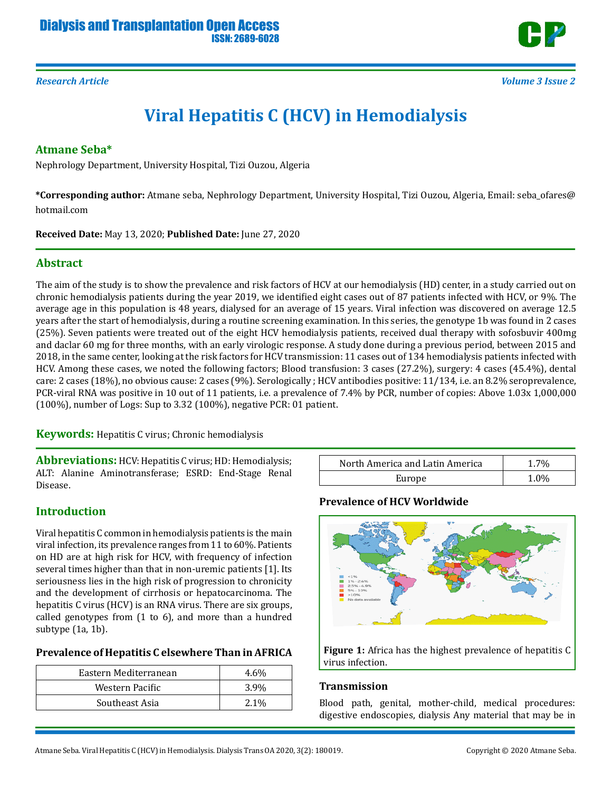

# **Viral Hepatitis C (HCV) in Hemodialysis**

#### **Atmane Seba\***

Nephrology Department, University Hospital, Tizi Ouzou, Algeria

**\*Corresponding author:** Atmane seba, Nephrology Department, University Hospital, Tizi Ouzou, Algeria, Email: seba\_ofares@ hotmail.com

**Received Date:** May 13, 2020; **Published Date:** June 27, 2020

## **Abstract**

The aim of the study is to show the prevalence and risk factors of HCV at our hemodialysis (HD) center, in a study carried out on chronic hemodialysis patients during the year 2019, we identified eight cases out of 87 patients infected with HCV, or 9%. The average age in this population is 48 years, dialysed for an average of 15 years. Viral infection was discovered on average 12.5 years after the start of hemodialysis, during a routine screening examination. In this series, the genotype 1b was found in 2 cases (25%). Seven patients were treated out of the eight HCV hemodialysis patients, received dual therapy with sofosbuvir 400mg and daclar 60 mg for three months, with an early virologic response. A study done during a previous period, between 2015 and 2018, in the same center, looking at the risk factors for HCV transmission: 11 cases out of 134 hemodialysis patients infected with HCV. Among these cases, we noted the following factors; Blood transfusion: 3 cases (27.2%), surgery: 4 cases (45.4%), dental care: 2 cases (18%), no obvious cause: 2 cases (9%). Serologically ; HCV antibodies positive: 11/134, i.e. an 8.2% seroprevalence, PCR-viral RNA was positive in 10 out of 11 patients, i.e. a prevalence of 7.4% by PCR, number of copies: Above 1.03x 1,000,000 (100%), number of Logs: Sup to 3.32 (100%), negative PCR: 01 patient.

**Keywords:** Hepatitis C virus; Chronic hemodialysis

**Abbreviations:** HCV: Hepatitis C virus; HD: Hemodialysis; ALT: Alanine Aminotransferase; ESRD: End-Stage Renal Disease.

## **Introduction**

Viral hepatitis C common in hemodialysis patients is the main viral infection, its prevalence ranges from 11 to 60%. Patients on HD are at high risk for HCV, with frequency of infection several times higher than that in non-uremic patients [1]. Its seriousness lies in the high risk of progression to chronicity and the development of cirrhosis or hepatocarcinoma. The hepatitis C virus (HCV) is an RNA virus. There are six groups, called genotypes from (1 to 6), and more than a hundred subtype (1a, 1b).

#### **Prevalence of Hepatitis C elsewhere Than in AFRICA**

| Eastern Mediterranean | $4.6\%$ |
|-----------------------|---------|
| Western Pacific       | 3.9%    |
| Southeast Asia        | $2.1\%$ |

| North America and Latin America | .7%     |
|---------------------------------|---------|
| Europe                          | $1.0\%$ |

#### **Prevalence of HCV Worldwide**



**Figure 1:** Africa has the highest prevalence of hepatitis C virus infection.

#### **Transmission**

Blood path, genital, mother-child, medical procedures: digestive endoscopies, dialysis Any material that may be in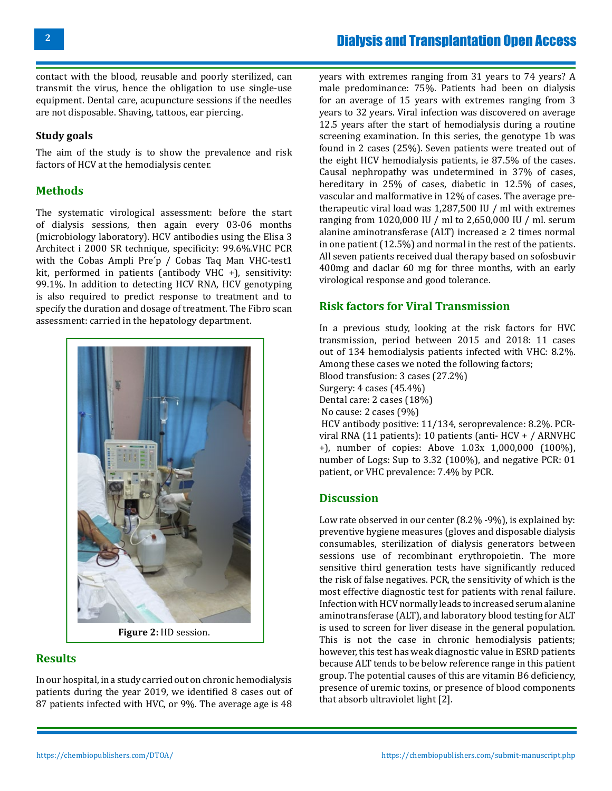contact with the blood, reusable and poorly sterilized, can transmit the virus, hence the obligation to use single-use equipment. Dental care, acupuncture sessions if the needles are not disposable. Shaving, tattoos, ear piercing.

#### **Study goals**

The aim of the study is to show the prevalence and risk factors of HCV at the hemodialysis center.

# **Methods**

The systematic virological assessment: before the start of dialysis sessions, then again every 03-06 months (microbiology laboratory). HCV antibodies using the Elisa 3 Architect i 2000 SR technique, specificity: 99.6%.VHC PCR with the Cobas Ampli Pre´p / Cobas Taq Man VHC-test1 kit, performed in patients (antibody VHC +), sensitivity: 99.1%. In addition to detecting HCV RNA, HCV genotyping is also required to predict response to treatment and to specify the duration and dosage of treatment. The Fibro scan assessment: carried in the hepatology department.



**Figure 2:** HD session.

## **Results**

In our hospital, in a study carried out on chronic hemodialysis patients during the year 2019, we identified 8 cases out of 87 patients infected with HVC, or 9%. The average age is 48

years with extremes ranging from 31 years to 74 years? A male predominance: 75%. Patients had been on dialysis for an average of 15 years with extremes ranging from 3 years to 32 years. Viral infection was discovered on average 12.5 years after the start of hemodialysis during a routine screening examination. In this series, the genotype 1b was found in 2 cases (25%). Seven patients were treated out of the eight HCV hemodialysis patients, ie 87.5% of the cases. Causal nephropathy was undetermined in 37% of cases, hereditary in 25% of cases, diabetic in 12.5% of cases, vascular and malformative in 12% of cases. The average pretherapeutic viral load was 1,287,500 IU / ml with extremes ranging from 1020,000 IU / ml to 2,650,000 IU / ml. serum alanine aminotransferase (ALT) increased  $\geq 2$  times normal in one patient (12.5%) and normal in the rest of the patients. All seven patients received dual therapy based on sofosbuvir 400mg and daclar 60 mg for three months, with an early virological response and good tolerance.

# **Risk factors for Viral Transmission**

In a previous study, looking at the risk factors for HVC transmission, period between 2015 and 2018: 11 cases out of 134 hemodialysis patients infected with VHC: 8.2%. Among these cases we noted the following factors;

Blood transfusion: 3 cases (27.2%)

Surgery: 4 cases (45.4%) Dental care: 2 cases (18%)

No cause: 2 cases (9%)

HCV antibody positive: 11/134, seroprevalence: 8.2%. PCRviral RNA (11 patients): 10 patients (anti- HCV + / ARNVHC +), number of copies: Above 1.03x 1,000,000 (100%), number of Logs: Sup to 3.32 (100%), and negative PCR: 01 patient, or VHC prevalence: 7.4% by PCR.

## **Discussion**

Low rate observed in our center (8.2% -9%), is explained by: preventive hygiene measures (gloves and disposable dialysis consumables, sterilization of dialysis generators between sessions use of recombinant erythropoietin. The more sensitive third generation tests have significantly reduced the risk of false negatives. PCR, the sensitivity of which is the most effective diagnostic test for patients with renal failure. Infection with HCV normally leads to increased serum alanine aminotransferase (ALT), and laboratory blood testing for ALT is used to screen for liver disease in the general population. This is not the case in chronic hemodialysis patients; however, this test has weak diagnostic value in ESRD patients because ALT tends to be below reference range in this patient group. The potential causes of this are vitamin B6 deficiency, presence of uremic toxins, or presence of blood components that absorb ultraviolet light [2].